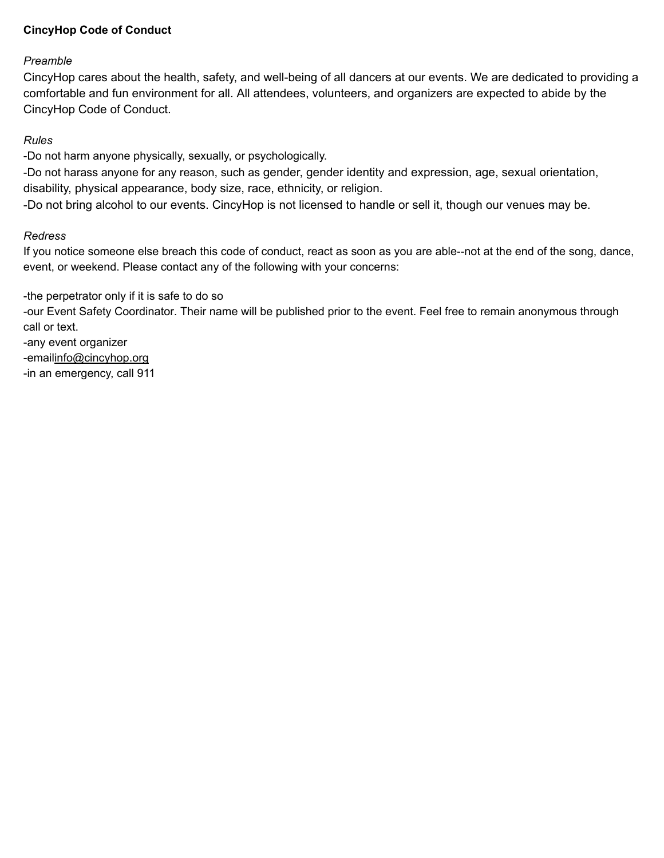# CincyHop Code of Conduct

## Preamble

CincyHop cares about the health, safety, and well-being of all dancers at our events. We are dedicated to providing a comfortable and fun environment for all. All attendees, volunteers, and organizers are expected to abide by the CincyHop Code of Conduct.

## Rules

-Do not harm anyone physically, sexually, or psychologically.

-Do not harass anyone for any reason, such as gender, gender identity and expression, age, sexual orientation, disability, physical appearance, body size, race, ethnicity, or religion.

-Do not bring alcohol to our events. CincyHop is not licensed to handle or sell it, though our venues may be.

## Redress

If you notice someone else breach this code of conduct, react as soon as you are able--not at the end of the song, dance, event, or weekend. Please contact any of the following with your concerns:

-the perpetrator only if it is safe to do so

-our Event Safety Coordinator. Their name will be published prior to the event. Feel free to remain anonymous through call or text.

-any event organizer -emaili[nfo@cincyhop.org](mailto:info@cincyhop.org) -in an emergency, call 911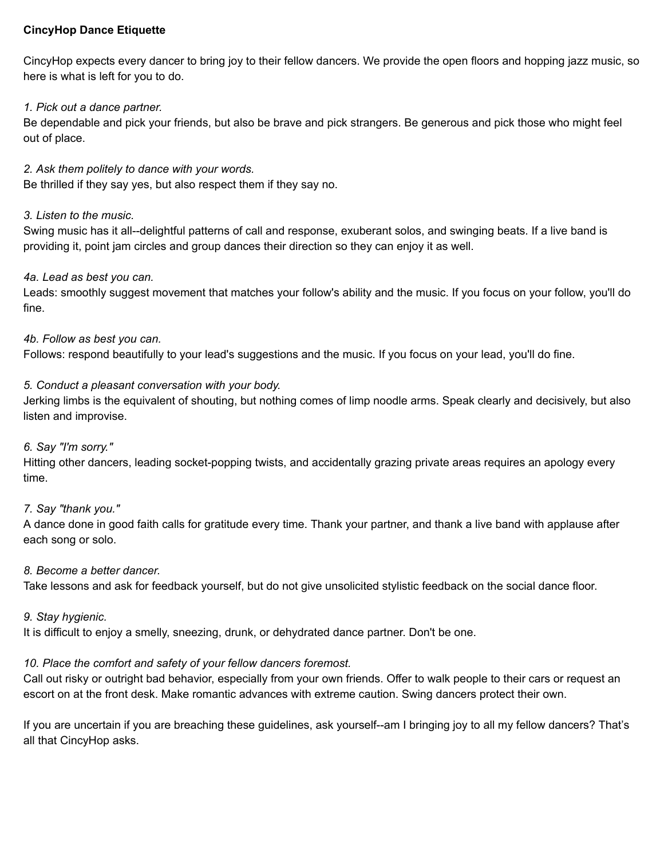## CincyHop Dance Etiquette

CincyHop expects every dancer to bring joy to their fellow dancers. We provide the open floors and hopping jazz music, so here is what is left for you to do.

## 1. Pick out a dance partner.

Be dependable and pick your friends, but also be brave and pick strangers. Be generous and pick those who might feel out of place.

2. Ask them politely to dance with your words. Be thrilled if they say yes, but also respect them if they say no.

## 3. Listen to the music.

Swing music has it all--delightful patterns of call and response, exuberant solos, and swinging beats. If a live band is providing it, point jam circles and group dances their direction so they can enjoy it as well.

## 4a. Lead as best you can.

Leads: smoothly suggest movement that matches your follow's ability and the music. If you focus on your follow, you'll do fine.

4b. Follow as best you can.

Follows: respond beautifully to your lead's suggestions and the music. If you focus on your lead, you'll do fine.

## 5. Conduct a pleasant conversation with your body.

Jerking limbs is the equivalent of shouting, but nothing comes of limp noodle arms. Speak clearly and decisively, but also listen and improvise.

## 6. Say "I'm sorry."

Hitting other dancers, leading socket-popping twists, and accidentally grazing private areas requires an apology every time.

## 7. Say "thank you."

A dance done in good faith calls for gratitude every time. Thank your partner, and thank a live band with applause after each song or solo.

## 8. Become a better dancer.

Take lessons and ask for feedback yourself, but do not give unsolicited stylistic feedback on the social dance floor.

## 9. Stay hygienic.

It is difficult to enjoy a smelly, sneezing, drunk, or dehydrated dance partner. Don't be one.

# 10. Place the comfort and safety of your fellow dancers foremost.

Call out risky or outright bad behavior, especially from your own friends. Offer to walk people to their cars or request an escort on at the front desk. Make romantic advances with extreme caution. Swing dancers protect their own.

If you are uncertain if you are breaching these guidelines, ask yourself--am I bringing joy to all my fellow dancers? That's all that CincyHop asks.